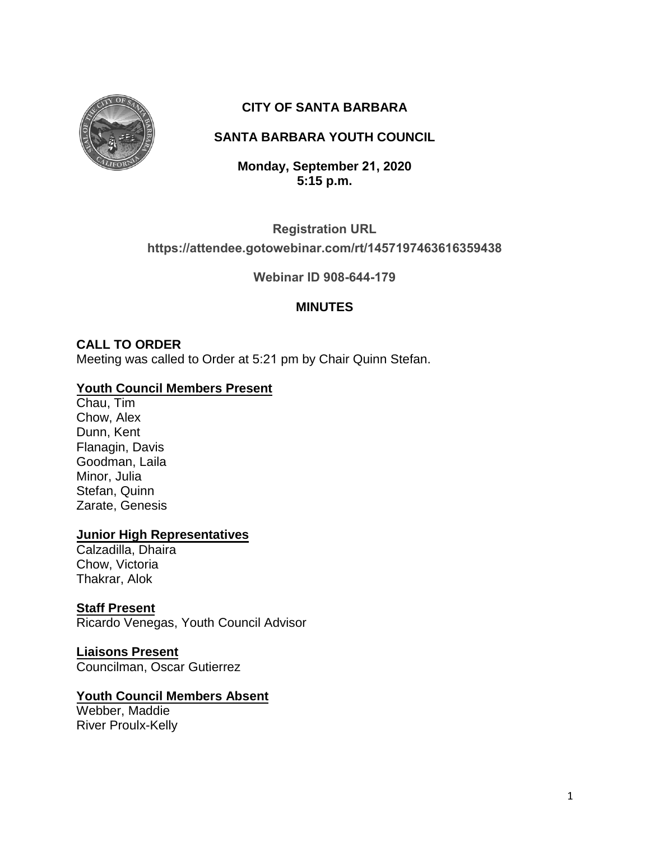

# **CITY OF SANTA BARBARA**

# **SANTA BARBARA YOUTH COUNCIL**

**Monday, September 21, 2020 5:15 p.m.** 

### **Registration URL**

### **[https://attendee.gotowebinar.com/rt/1457197463616359438](https://attendee.gotowebinar.com/rt/3358414695322454795)**

**Webinar ID 908-644-179**

### **MINUTES**

### **CALL TO ORDER**

Meeting was called to Order at 5:21 pm by Chair Quinn Stefan.

### **Youth Council Members Present**

Chau, Tim Chow, Alex Dunn, Kent Flanagin, Davis Goodman, Laila Minor, Julia Stefan, Quinn Zarate, Genesis

#### **Junior High Representatives**

Calzadilla, Dhaira Chow, Victoria Thakrar, Alok

#### **Staff Present**

Ricardo Venegas, Youth Council Advisor

#### **Liaisons Present**

Councilman, Oscar Gutierrez

#### **Youth Council Members Absent**

Webber, Maddie River Proulx-Kelly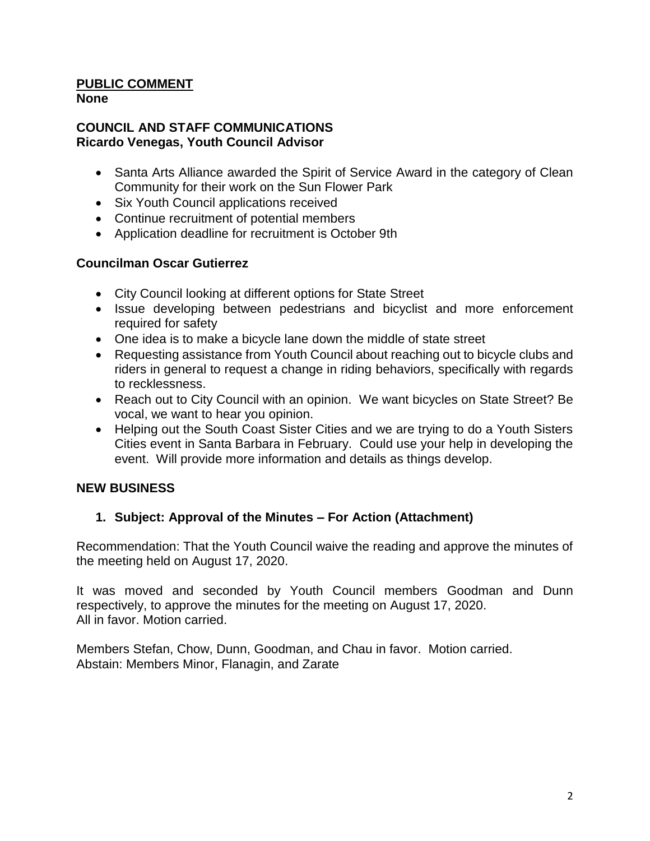#### **PUBLIC COMMENT None**

### **COUNCIL AND STAFF COMMUNICATIONS Ricardo Venegas, Youth Council Advisor**

- Santa Arts Alliance awarded the Spirit of Service Award in the category of Clean Community for their work on the Sun Flower Park
- Six Youth Council applications received
- Continue recruitment of potential members
- Application deadline for recruitment is October 9th

### **Councilman Oscar Gutierrez**

- City Council looking at different options for State Street
- Issue developing between pedestrians and bicyclist and more enforcement required for safety
- One idea is to make a bicycle lane down the middle of state street
- Requesting assistance from Youth Council about reaching out to bicycle clubs and riders in general to request a change in riding behaviors, specifically with regards to recklessness.
- Reach out to City Council with an opinion. We want bicycles on State Street? Be vocal, we want to hear you opinion.
- Helping out the South Coast Sister Cities and we are trying to do a Youth Sisters Cities event in Santa Barbara in February. Could use your help in developing the event. Will provide more information and details as things develop.

#### **NEW BUSINESS**

### **1. Subject: Approval of the Minutes – For Action (Attachment)**

Recommendation: That the Youth Council waive the reading and approve the minutes of the meeting held on August 17, 2020.

It was moved and seconded by Youth Council members Goodman and Dunn respectively, to approve the minutes for the meeting on August 17, 2020. All in favor. Motion carried.

Members Stefan, Chow, Dunn, Goodman, and Chau in favor. Motion carried. Abstain: Members Minor, Flanagin, and Zarate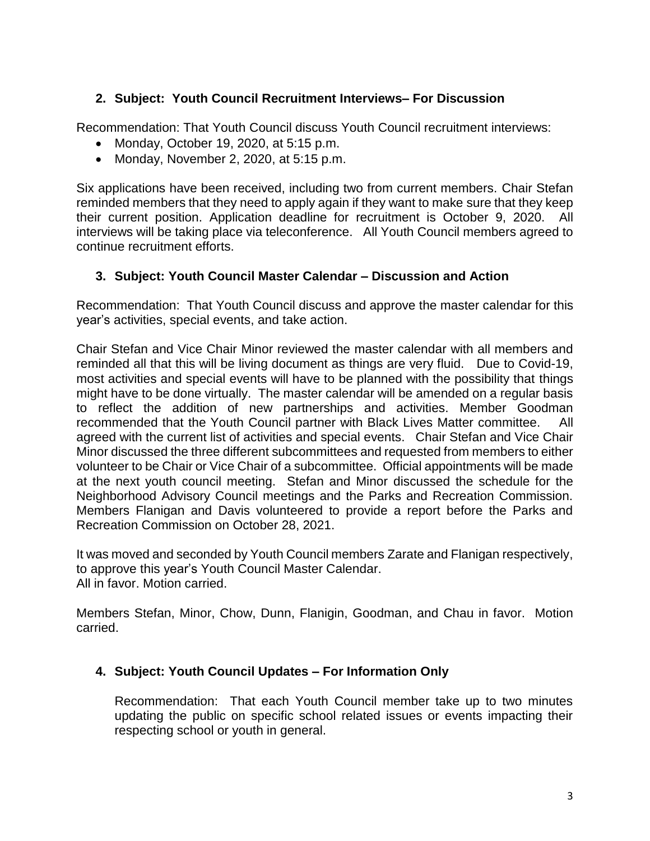## **2. Subject: Youth Council Recruitment Interviews– For Discussion**

Recommendation: That Youth Council discuss Youth Council recruitment interviews:

- Monday, October 19, 2020, at 5:15 p.m.
- Monday, November 2, 2020, at  $5:15$  p.m.

Six applications have been received, including two from current members. Chair Stefan reminded members that they need to apply again if they want to make sure that they keep their current position. Application deadline for recruitment is October 9, 2020. All interviews will be taking place via teleconference. All Youth Council members agreed to continue recruitment efforts.

### **3. Subject: Youth Council Master Calendar – Discussion and Action**

Recommendation: That Youth Council discuss and approve the master calendar for this year's activities, special events, and take action.

Chair Stefan and Vice Chair Minor reviewed the master calendar with all members and reminded all that this will be living document as things are very fluid. Due to Covid-19, most activities and special events will have to be planned with the possibility that things might have to be done virtually. The master calendar will be amended on a regular basis to reflect the addition of new partnerships and activities. Member Goodman recommended that the Youth Council partner with Black Lives Matter committee. All agreed with the current list of activities and special events. Chair Stefan and Vice Chair Minor discussed the three different subcommittees and requested from members to either volunteer to be Chair or Vice Chair of a subcommittee. Official appointments will be made at the next youth council meeting. Stefan and Minor discussed the schedule for the Neighborhood Advisory Council meetings and the Parks and Recreation Commission. Members Flanigan and Davis volunteered to provide a report before the Parks and Recreation Commission on October 28, 2021.

It was moved and seconded by Youth Council members Zarate and Flanigan respectively, to approve this year's Youth Council Master Calendar. All in favor. Motion carried.

Members Stefan, Minor, Chow, Dunn, Flanigin, Goodman, and Chau in favor. Motion carried.

### **4. Subject: Youth Council Updates – For Information Only**

Recommendation: That each Youth Council member take up to two minutes updating the public on specific school related issues or events impacting their respecting school or youth in general.